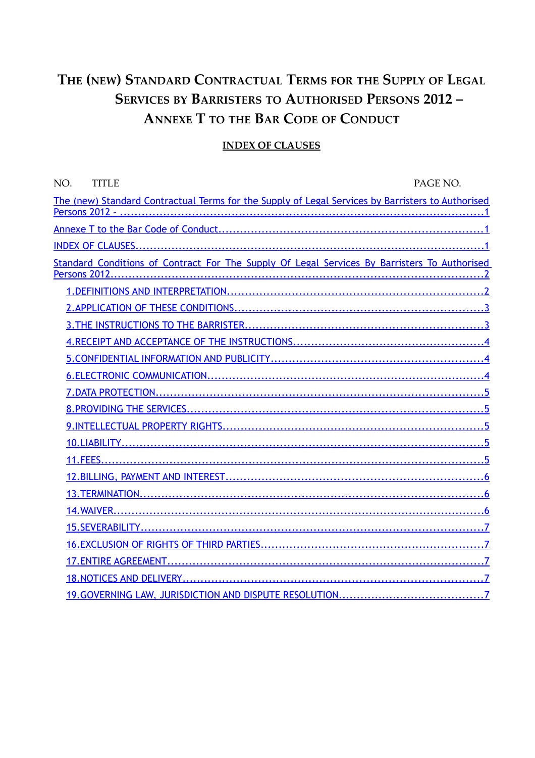# <span id="page-0-2"></span>**THE (NEW) STANDARD CONTRACTUAL TERMS FOR THE SUPPLY OF LEGAL SERVICES BY BARRISTERS TO AUTHORISED PERSONS 2012 – ANNEXE T TO THE BAR CODE OF CONDUCT**

#### <span id="page-0-1"></span><span id="page-0-0"></span> **INDEX OF CLAUSES**

| NO.<br><b>TITLE</b>                                                                               | PAGE NO. |
|---------------------------------------------------------------------------------------------------|----------|
| The (new) Standard Contractual Terms for the Supply of Legal Services by Barristers to Authorised |          |
|                                                                                                   |          |
|                                                                                                   |          |
|                                                                                                   |          |
| Standard Conditions of Contract For The Supply Of Legal Services By Barristers To Authorised      |          |
|                                                                                                   |          |
|                                                                                                   |          |
|                                                                                                   |          |
|                                                                                                   |          |
|                                                                                                   |          |
|                                                                                                   |          |
|                                                                                                   |          |
|                                                                                                   |          |
|                                                                                                   |          |
|                                                                                                   |          |
|                                                                                                   |          |
|                                                                                                   |          |
|                                                                                                   |          |
|                                                                                                   |          |
|                                                                                                   |          |
|                                                                                                   |          |
|                                                                                                   |          |
|                                                                                                   |          |
|                                                                                                   |          |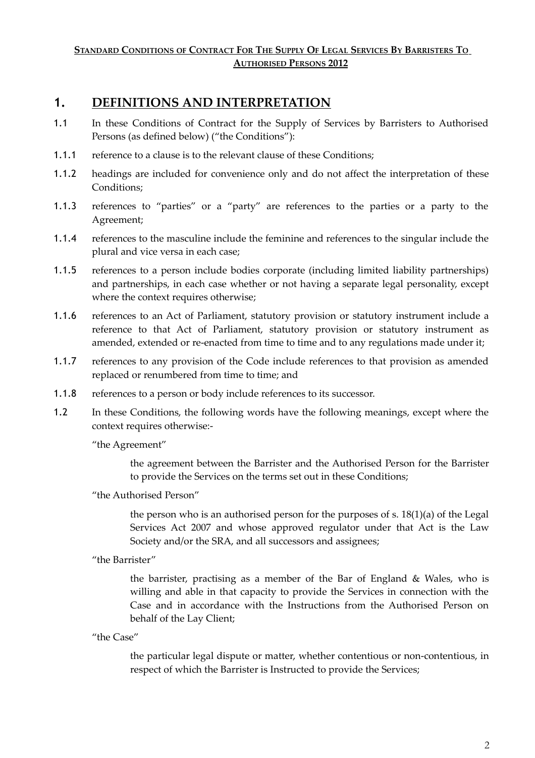#### <span id="page-1-1"></span>STANDARD CONDITIONS OF CONTRACT FOR THE SUPPLY OF LEGAL SERVICES BY BARRISTERS TO  **AUTHORISED PERSONS 2012**

### <span id="page-1-0"></span>**1. DEFINITIONS AND INTERPRETATION**

- 1.1 In these Conditions of Contract for the Supply of Services by Barristers to Authorised Persons (as defined below) ("the Conditions"):
- 1.1.1 reference to a clause is to the relevant clause of these Conditions;
- 1.1.2 headings are included for convenience only and do not affect the interpretation of these Conditions;
- 1.1.3 references to "parties" or a "party" are references to the parties or a party to the Agreement;
- 1.1.4 references to the masculine include the feminine and references to the singular include the plural and vice versa in each case;
- 1.1.5 references to a person include bodies corporate (including limited liability partnerships) and partnerships, in each case whether or not having a separate legal personality, except where the context requires otherwise;
- 1.1.6 references to an Act of Parliament, statutory provision or statutory instrument include a reference to that Act of Parliament, statutory provision or statutory instrument as amended, extended or re-enacted from time to time and to any regulations made under it;
- 1.1.7 references to any provision of the Code include references to that provision as amended replaced or renumbered from time to time; and
- 1.1.8 references to a person or body include references to its successor.
- 1.2 In these Conditions, the following words have the following meanings, except where the context requires otherwise:-

"the Agreement"

the agreement between the Barrister and the Authorised Person for the Barrister to provide the Services on the terms set out in these Conditions;

"the Authorised Person"

the person who is an authorised person for the purposes of s. 18(1)(a) of the Legal Services Act 2007 and whose approved regulator under that Act is the Law Society and/or the SRA, and all successors and assignees;

"the Barrister"

the barrister, practising as a member of the Bar of England & Wales, who is willing and able in that capacity to provide the Services in connection with the Case and in accordance with the Instructions from the Authorised Person on behalf of the Lay Client;

"the Case"

the particular legal dispute or matter, whether contentious or non-contentious, in respect of which the Barrister is Instructed to provide the Services;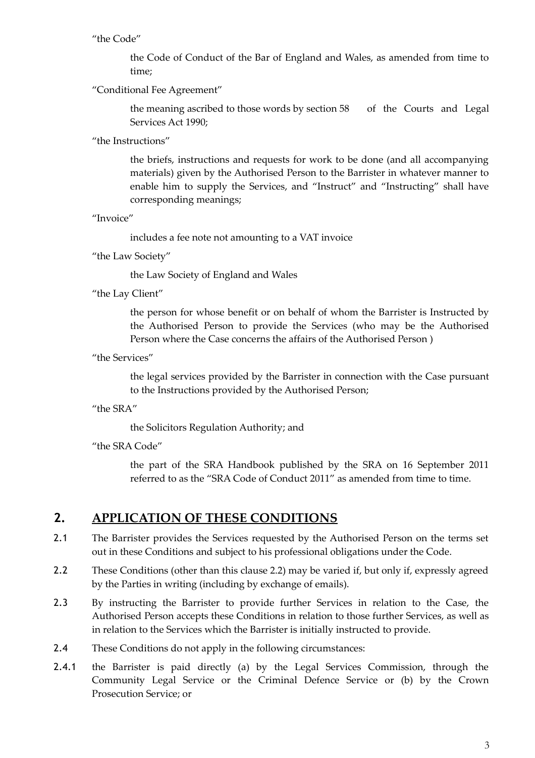#### "the Code"

the Code of Conduct of the Bar of England and Wales, as amended from time to time;

#### "Conditional Fee Agreement"

the meaning ascribed to those words by section 58 of the Courts and Legal Services Act 1990;

"the Instructions"

the briefs, instructions and requests for work to be done (and all accompanying materials) given by the Authorised Person to the Barrister in whatever manner to enable him to supply the Services, and "Instruct" and "Instructing" shall have corresponding meanings;

"Invoice"

includes a fee note not amounting to a VAT invoice

"the Law Society"

the Law Society of England and Wales

"the Lay Client"

the person for whose benefit or on behalf of whom the Barrister is Instructed by the Authorised Person to provide the Services (who may be the Authorised Person where the Case concerns the affairs of the Authorised Person )

"the Services"

the legal services provided by the Barrister in connection with the Case pursuant to the Instructions provided by the Authorised Person;

#### "the SRA"

the Solicitors Regulation Authority; and

"the SRA Code"

the part of the SRA Handbook published by the SRA on 16 September 2011 referred to as the "SRA Code of Conduct 2011" as amended from time to time.

### <span id="page-2-0"></span>**2. APPLICATION OF THESE CONDITIONS**

- 2.1 The Barrister provides the Services requested by the Authorised Person on the terms set out in these Conditions and subject to his professional obligations under the Code.
- 2.2 These Conditions (other than this clause 2.2) may be varied if, but only if, expressly agreed by the Parties in writing (including by exchange of emails).
- 2.3 By instructing the Barrister to provide further Services in relation to the Case, the Authorised Person accepts these Conditions in relation to those further Services, as well as in relation to the Services which the Barrister is initially instructed to provide.
- 2.4 These Conditions do not apply in the following circumstances:
- 2.4.1 the Barrister is paid directly (a) by the Legal Services Commission, through the Community Legal Service or the Criminal Defence Service or (b) by the Crown Prosecution Service; or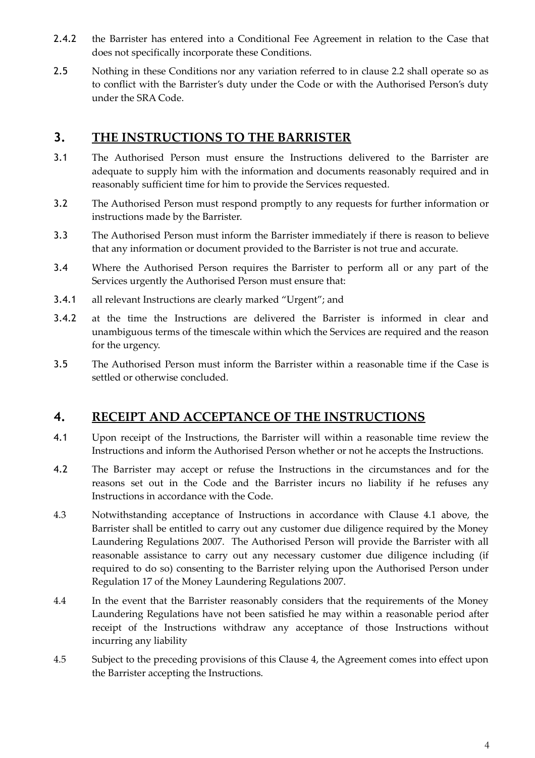- 2.4.2 the Barrister has entered into a Conditional Fee Agreement in relation to the Case that does not specifically incorporate these Conditions.
- 2.5 Nothing in these Conditions nor any variation referred to in clause 2.2 shall operate so as to conflict with the Barrister's duty under the Code or with the Authorised Person's duty under the SRA Code.

# <span id="page-3-1"></span>**3. THE INSTRUCTIONS TO THE BARRISTER**

- 3.1 The Authorised Person must ensure the Instructions delivered to the Barrister are adequate to supply him with the information and documents reasonably required and in reasonably sufficient time for him to provide the Services requested.
- 3.2 The Authorised Person must respond promptly to any requests for further information or instructions made by the Barrister.
- 3.3 The Authorised Person must inform the Barrister immediately if there is reason to believe that any information or document provided to the Barrister is not true and accurate.
- 3.4 Where the Authorised Person requires the Barrister to perform all or any part of the Services urgently the Authorised Person must ensure that:
- 3.4.1 all relevant Instructions are clearly marked "Urgent"; and
- 3.4.2 at the time the Instructions are delivered the Barrister is informed in clear and unambiguous terms of the timescale within which the Services are required and the reason for the urgency.
- 3.5 The Authorised Person must inform the Barrister within a reasonable time if the Case is settled or otherwise concluded.

### <span id="page-3-0"></span>**4. RECEIPT AND ACCEPTANCE OF THE INSTRUCTIONS**

- 4.1 Upon receipt of the Instructions, the Barrister will within a reasonable time review the Instructions and inform the Authorised Person whether or not he accepts the Instructions.
- 4.2 The Barrister may accept or refuse the Instructions in the circumstances and for the reasons set out in the Code and the Barrister incurs no liability if he refuses any Instructions in accordance with the Code.
- 4.3 Notwithstanding acceptance of Instructions in accordance with Clause 4.1 above, the Barrister shall be entitled to carry out any customer due diligence required by the Money Laundering Regulations 2007. The Authorised Person will provide the Barrister with all reasonable assistance to carry out any necessary customer due diligence including (if required to do so) consenting to the Barrister relying upon the Authorised Person under Regulation 17 of the Money Laundering Regulations 2007.
- 4.4 In the event that the Barrister reasonably considers that the requirements of the Money Laundering Regulations have not been satisfied he may within a reasonable period after receipt of the Instructions withdraw any acceptance of those Instructions without incurring any liability
- 4.5 Subject to the preceding provisions of this Clause 4, the Agreement comes into effect upon the Barrister accepting the Instructions.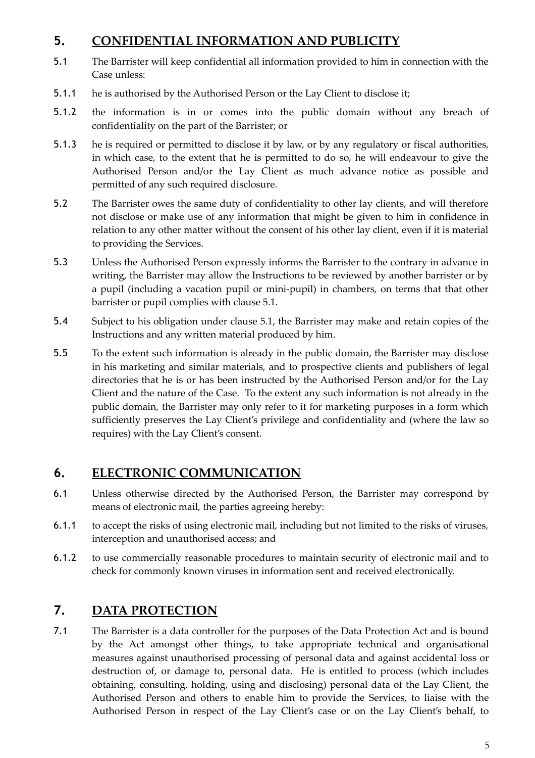# <span id="page-4-2"></span>**5. CONFIDENTIAL INFORMATION AND PUBLICITY**

- 5.1 The Barrister will keep confidential all information provided to him in connection with the Case unless:
- 5.1.1 he is authorised by the Authorised Person or the Lay Client to disclose it;
- 5.1.2 the information is in or comes into the public domain without any breach of confidentiality on the part of the Barrister; or
- 5.1.3 he is required or permitted to disclose it by law, or by any regulatory or fiscal authorities, in which case, to the extent that he is permitted to do so, he will endeavour to give the Authorised Person and/or the Lay Client as much advance notice as possible and permitted of any such required disclosure.
- 5.2 The Barrister owes the same duty of confidentiality to other lay clients, and will therefore not disclose or make use of any information that might be given to him in confidence in relation to any other matter without the consent of his other lay client, even if it is material to providing the Services.
- 5.3 Unless the Authorised Person expressly informs the Barrister to the contrary in advance in writing, the Barrister may allow the Instructions to be reviewed by another barrister or by a pupil (including a vacation pupil or mini-pupil) in chambers, on terms that that other barrister or pupil complies with clause 5.1.
- 5.4 Subject to his obligation under clause 5.1, the Barrister may make and retain copies of the Instructions and any written material produced by him.
- 5.5 To the extent such information is already in the public domain, the Barrister may disclose in his marketing and similar materials, and to prospective clients and publishers of legal directories that he is or has been instructed by the Authorised Person and/or for the Lay Client and the nature of the Case. To the extent any such information is not already in the public domain, the Barrister may only refer to it for marketing purposes in a form which sufficiently preserves the Lay Client's privilege and confidentiality and (where the law so requires) with the Lay Client's consent.

# <span id="page-4-1"></span>**6. ELECTRONIC COMMUNICATION**

- 6.1 Unless otherwise directed by the Authorised Person, the Barrister may correspond by means of electronic mail, the parties agreeing hereby:
- 6.1.1 to accept the risks of using electronic mail, including but not limited to the risks of viruses, interception and unauthorised access; and
- 6.1.2 to use commercially reasonable procedures to maintain security of electronic mail and to check for commonly known viruses in information sent and received electronically.

# <span id="page-4-0"></span>**7. DATA PROTECTION**

7.1 The Barrister is a data controller for the purposes of the Data Protection Act and is bound by the Act amongst other things, to take appropriate technical and organisational measures against unauthorised processing of personal data and against accidental loss or destruction of, or damage to, personal data. He is entitled to process (which includes obtaining, consulting, holding, using and disclosing) personal data of the Lay Client, the Authorised Person and others to enable him to provide the Services, to liaise with the Authorised Person in respect of the Lay Client's case or on the Lay Client's behalf, to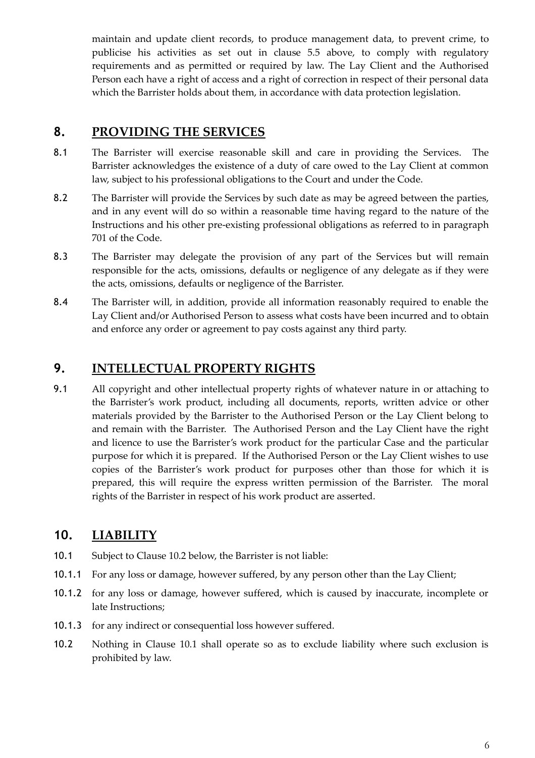maintain and update client records, to produce management data, to prevent crime, to publicise his activities as set out in clause 5.5 above, to comply with regulatory requirements and as permitted or required by law. The Lay Client and the Authorised Person each have a right of access and a right of correction in respect of their personal data which the Barrister holds about them, in accordance with data protection legislation.

### <span id="page-5-2"></span>**8. PROVIDING THE SERVICES**

- 8.1 The Barrister will exercise reasonable skill and care in providing the Services. The Barrister acknowledges the existence of a duty of care owed to the Lay Client at common law, subject to his professional obligations to the Court and under the Code.
- 8.2 The Barrister will provide the Services by such date as may be agreed between the parties, and in any event will do so within a reasonable time having regard to the nature of the Instructions and his other pre-existing professional obligations as referred to in paragraph 701 of the Code.
- 8.3 The Barrister may delegate the provision of any part of the Services but will remain responsible for the acts, omissions, defaults or negligence of any delegate as if they were the acts, omissions, defaults or negligence of the Barrister.
- 8.4 The Barrister will, in addition, provide all information reasonably required to enable the Lay Client and/or Authorised Person to assess what costs have been incurred and to obtain and enforce any order or agreement to pay costs against any third party.

# <span id="page-5-1"></span>**9. INTELLECTUAL PROPERTY RIGHTS**

9.1 All copyright and other intellectual property rights of whatever nature in or attaching to the Barrister's work product, including all documents, reports, written advice or other materials provided by the Barrister to the Authorised Person or the Lay Client belong to and remain with the Barrister. The Authorised Person and the Lay Client have the right and licence to use the Barrister's work product for the particular Case and the particular purpose for which it is prepared. If the Authorised Person or the Lay Client wishes to use copies of the Barrister's work product for purposes other than those for which it is prepared, this will require the express written permission of the Barrister. The moral rights of the Barrister in respect of his work product are asserted.

# <span id="page-5-0"></span>**10. LIABILITY**

- 10.1 Subject to Clause 10.2 below, the Barrister is not liable:
- 10.1.1 For any loss or damage, however suffered, by any person other than the Lay Client;
- 10.1.2 for any loss or damage, however suffered, which is caused by inaccurate, incomplete or late Instructions;
- 10.1.3 for any indirect or consequential loss however suffered.
- 10.2 Nothing in Clause 10.1 shall operate so as to exclude liability where such exclusion is prohibited by law.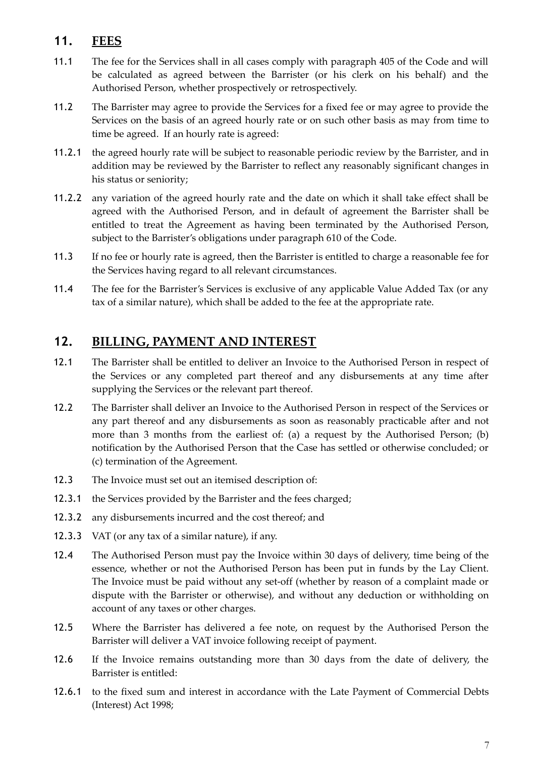# <span id="page-6-1"></span>**11. FEES**

- 11.1 The fee for the Services shall in all cases comply with paragraph 405 of the Code and will be calculated as agreed between the Barrister (or his clerk on his behalf) and the Authorised Person, whether prospectively or retrospectively.
- 11.2 The Barrister may agree to provide the Services for a fixed fee or may agree to provide the Services on the basis of an agreed hourly rate or on such other basis as may from time to time be agreed. If an hourly rate is agreed:
- 11.2.1 the agreed hourly rate will be subject to reasonable periodic review by the Barrister, and in addition may be reviewed by the Barrister to reflect any reasonably significant changes in his status or seniority;
- 11.2.2 any variation of the agreed hourly rate and the date on which it shall take effect shall be agreed with the Authorised Person, and in default of agreement the Barrister shall be entitled to treat the Agreement as having been terminated by the Authorised Person, subject to the Barrister's obligations under paragraph 610 of the Code.
- 11.3 If no fee or hourly rate is agreed, then the Barrister is entitled to charge a reasonable fee for the Services having regard to all relevant circumstances.
- 11.4 The fee for the Barrister's Services is exclusive of any applicable Value Added Tax (or any tax of a similar nature), which shall be added to the fee at the appropriate rate.

# <span id="page-6-0"></span>**12. BILLING, PAYMENT AND INTEREST**

- 12.1 The Barrister shall be entitled to deliver an Invoice to the Authorised Person in respect of the Services or any completed part thereof and any disbursements at any time after supplying the Services or the relevant part thereof.
- 12.2 The Barrister shall deliver an Invoice to the Authorised Person in respect of the Services or any part thereof and any disbursements as soon as reasonably practicable after and not more than 3 months from the earliest of: (a) a request by the Authorised Person; (b) notification by the Authorised Person that the Case has settled or otherwise concluded; or (c) termination of the Agreement.
- 12.3 The Invoice must set out an itemised description of:
- 12.3.1 the Services provided by the Barrister and the fees charged;
- 12.3.2 any disbursements incurred and the cost thereof; and
- 12.3.3 VAT (or any tax of a similar nature), if any.
- 12.4 The Authorised Person must pay the Invoice within 30 days of delivery, time being of the essence, whether or not the Authorised Person has been put in funds by the Lay Client. The Invoice must be paid without any set-off (whether by reason of a complaint made or dispute with the Barrister or otherwise), and without any deduction or withholding on account of any taxes or other charges.
- 12.5 Where the Barrister has delivered a fee note, on request by the Authorised Person the Barrister will deliver a VAT invoice following receipt of payment.
- 12.6 If the Invoice remains outstanding more than 30 days from the date of delivery, the Barrister is entitled:
- 12.6.1 to the fixed sum and interest in accordance with the Late Payment of Commercial Debts (Interest) Act 1998;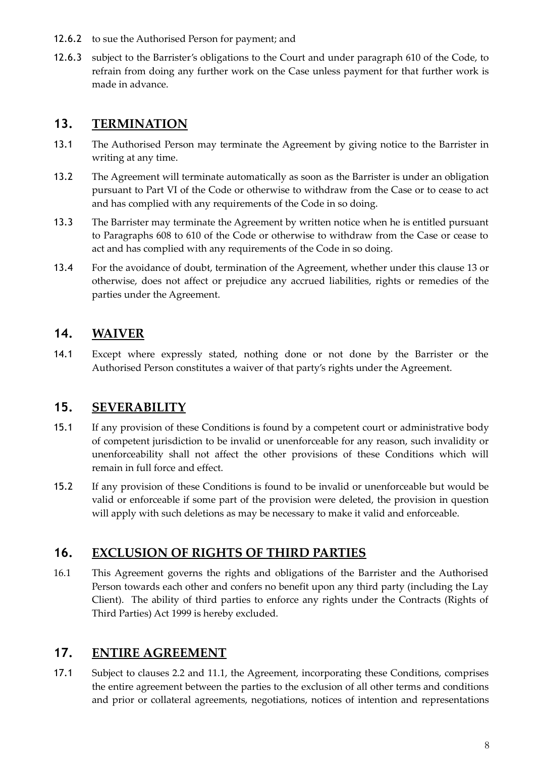- 12.6.2 to sue the Authorised Person for payment; and
- 12.6.3 subject to the Barrister's obligations to the Court and under paragraph 610 of the Code, to refrain from doing any further work on the Case unless payment for that further work is made in advance.

### <span id="page-7-4"></span>**13. TERMINATION**

- 13.1 The Authorised Person may terminate the Agreement by giving notice to the Barrister in writing at any time.
- 13.2 The Agreement will terminate automatically as soon as the Barrister is under an obligation pursuant to Part VI of the Code or otherwise to withdraw from the Case or to cease to act and has complied with any requirements of the Code in so doing.
- 13.3 The Barrister may terminate the Agreement by written notice when he is entitled pursuant to Paragraphs 608 to 610 of the Code or otherwise to withdraw from the Case or cease to act and has complied with any requirements of the Code in so doing.
- 13.4 For the avoidance of doubt, termination of the Agreement, whether under this clause 13 or otherwise, does not affect or prejudice any accrued liabilities, rights or remedies of the parties under the Agreement.

# <span id="page-7-3"></span>**14. WAIVER**

14.1 Except where expressly stated, nothing done or not done by the Barrister or the Authorised Person constitutes a waiver of that party's rights under the Agreement.

# <span id="page-7-2"></span>**15. SEVERABILITY**

- 15.1 If any provision of these Conditions is found by a competent court or administrative body of competent jurisdiction to be invalid or unenforceable for any reason, such invalidity or unenforceability shall not affect the other provisions of these Conditions which will remain in full force and effect.
- 15.2 If any provision of these Conditions is found to be invalid or unenforceable but would be valid or enforceable if some part of the provision were deleted, the provision in question will apply with such deletions as may be necessary to make it valid and enforceable.

# <span id="page-7-1"></span>**16. EXCLUSION OF RIGHTS OF THIRD PARTIES**

16.1 This Agreement governs the rights and obligations of the Barrister and the Authorised Person towards each other and confers no benefit upon any third party (including the Lay Client). The ability of third parties to enforce any rights under the Contracts (Rights of Third Parties) Act 1999 is hereby excluded.

# <span id="page-7-0"></span>**17. ENTIRE AGREEMENT**

17.1 Subject to clauses 2.2 and 11.1, the Agreement, incorporating these Conditions, comprises the entire agreement between the parties to the exclusion of all other terms and conditions and prior or collateral agreements, negotiations, notices of intention and representations